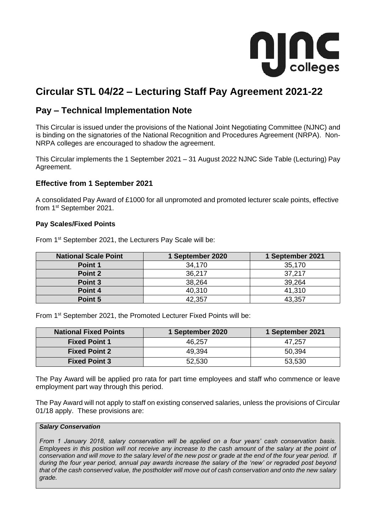

# **Circular STL 04/22 – Lecturing Staff Pay Agreement 2021-22**

# **Pay – Technical Implementation Note**

This Circular is issued under the provisions of the National Joint Negotiating Committee (NJNC) and is binding on the signatories of the National Recognition and Procedures Agreement (NRPA). Non-NRPA colleges are encouraged to shadow the agreement.

This Circular implements the 1 September 2021 – 31 August 2022 NJNC Side Table (Lecturing) Pay Agreement.

## **Effective from 1 September 2021**

A consolidated Pay Award of £1000 for all unpromoted and promoted lecturer scale points, effective from 1st September 2021.

#### **Pay Scales/Fixed Points**

From 1<sup>st</sup> September 2021, the Lecturers Pay Scale will be:

| <b>National Scale Point</b> | 1 September 2020 | 1 September 2021 |
|-----------------------------|------------------|------------------|
| Point 1                     | 34,170           | 35,170           |
| Point 2                     | 36,217           | 37,217           |
| Point 3                     | 38,264           | 39,264           |
| Point 4                     | 40,310           | 41,310           |
| Point 5                     | 42,357           | 43,357           |

From 1<sup>st</sup> September 2021, the Promoted Lecturer Fixed Points will be:

| <b>National Fixed Points</b> | 1 September 2020 | 1 September 2021 |
|------------------------------|------------------|------------------|
| <b>Fixed Point 1</b>         | 46,257           | 47,257           |
| <b>Fixed Point 2</b>         | 49,394           | 50,394           |
| <b>Fixed Point 3</b>         | 52,530           | 53,530           |

The Pay Award will be applied pro rata for part time employees and staff who commence or leave employment part way through this period.

The Pay Award will not apply to staff on existing conserved salaries, unless the provisions of Circular 01/18 apply. These provisions are:

#### *Salary Conservation*

*From 1 January 2018, salary conservation will be applied on a four years' cash conservation basis. Employees in this position will not receive any increase to the cash amount of the salary at the point of conservation and will move to the salary level of the new post or grade at the end of the four year period. If during the four year period, annual pay awards increase the salary of the 'new' or regraded post beyond that of the cash conserved value, the postholder will move out of cash conservation and onto the new salary grade.*